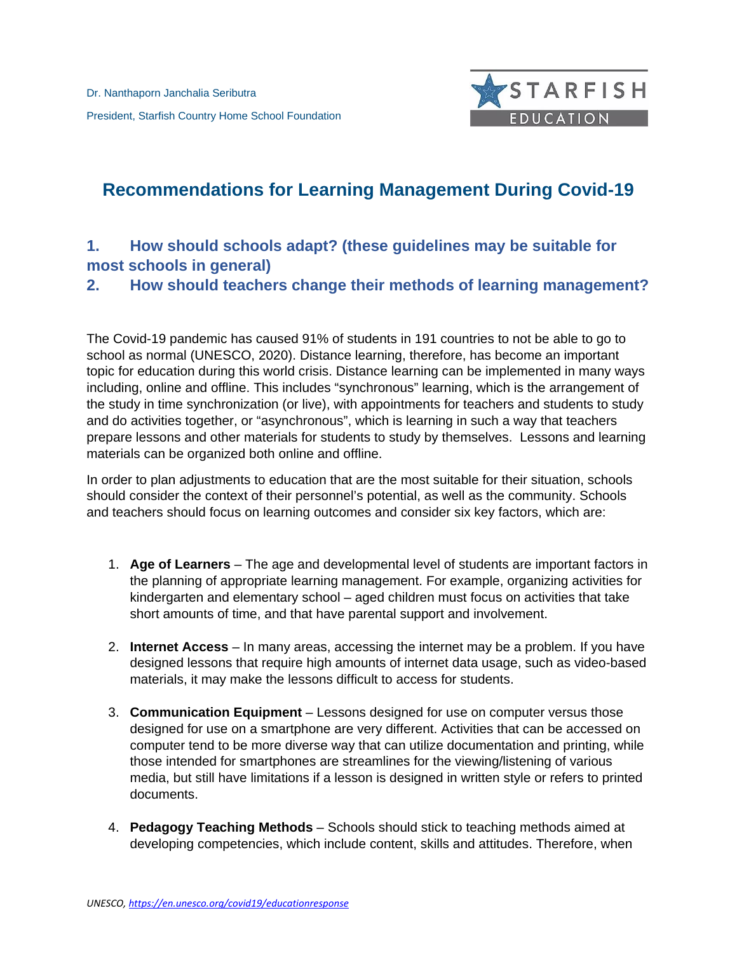

# **Recommendations for Learning Management During Covid-19**

# **1. How should schools adapt? (these guidelines may be suitable for most schools in general)**

## **2. How should teachers change their methods of learning management?**

The Covid-19 pandemic has caused 91% of students in 191 countries to not be able to go to school as normal (UNESCO, 2020). Distance learning, therefore, has become an important topic for education during this world crisis. Distance learning can be implemented in many ways including, online and offline. This includes "synchronous" learning, which is the arrangement of the study in time synchronization (or live), with appointments for teachers and students to study and do activities together, or "asynchronous", which is learning in such a way that teachers prepare lessons and other materials for students to study by themselves. Lessons and learning materials can be organized both online and offline.

In order to plan adjustments to education that are the most suitable for their situation, schools should consider the context of their personnel's potential, as well as the community. Schools and teachers should focus on learning outcomes and consider six key factors, which are:

- 1. **Age of Learners** The age and developmental level of students are important factors in the planning of appropriate learning management. For example, organizing activities for kindergarten and elementary school – aged children must focus on activities that take short amounts of time, and that have parental support and involvement.
- 2. **Internet Access**  In many areas, accessing the internet may be a problem. If you have designed lessons that require high amounts of internet data usage, such as video-based materials, it may make the lessons difficult to access for students.
- 3. **Communication Equipment** Lessons designed for use on computer versus those designed for use on a smartphone are very different. Activities that can be accessed on computer tend to be more diverse way that can utilize documentation and printing, while those intended for smartphones are streamlines for the viewing/listening of various media, but still have limitations if a lesson is designed in written style or refers to printed documents.
- 4. **Pedagogy Teaching Methods**  Schools should stick to teaching methods aimed at developing competencies, which include content, skills and attitudes. Therefore, when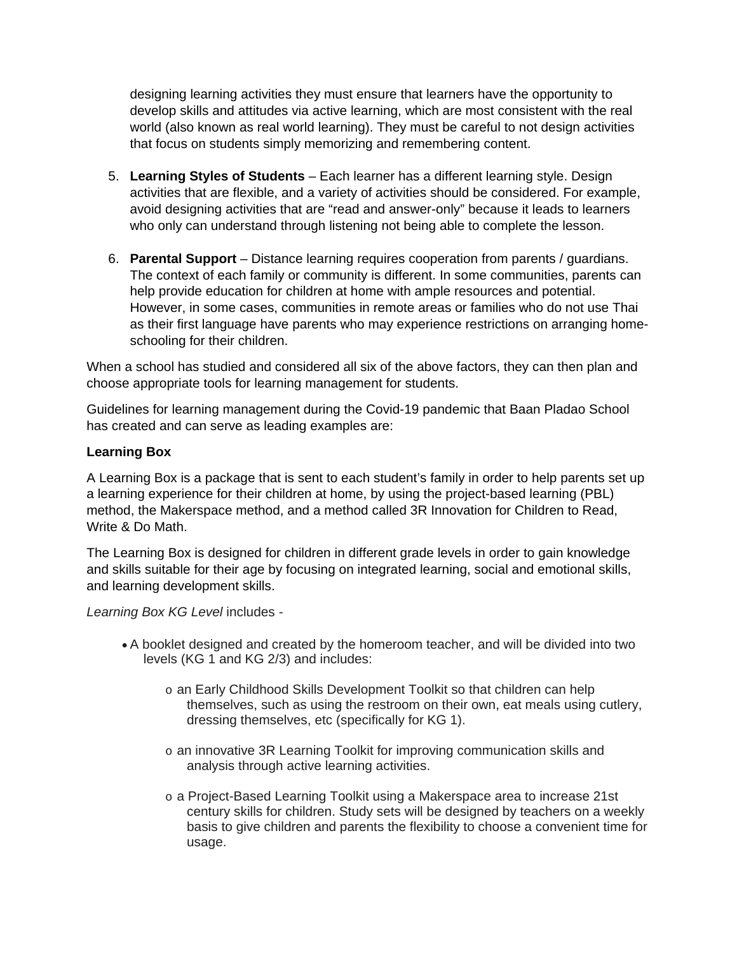designing learning activities they must ensure that learners have the opportunity to develop skills and attitudes via active learning, which are most consistent with the real world (also known as real world learning). They must be careful to not design activities that focus on students simply memorizing and remembering content.

- 5. **Learning Styles of Students**  Each learner has a different learning style. Design activities that are flexible, and a variety of activities should be considered. For example, avoid designing activities that are "read and answer-only" because it leads to learners who only can understand through listening not being able to complete the lesson.
- 6. **Parental Support**  Distance learning requires cooperation from parents / guardians. The context of each family or community is different. In some communities, parents can help provide education for children at home with ample resources and potential. However, in some cases, communities in remote areas or families who do not use Thai as their first language have parents who may experience restrictions on arranging homeschooling for their children.

When a school has studied and considered all six of the above factors, they can then plan and choose appropriate tools for learning management for students.

Guidelines for learning management during the Covid-19 pandemic that Baan Pladao School has created and can serve as leading examples are:

#### **Learning Box**

A Learning Box is a package that is sent to each student's family in order to help parents set up a learning experience for their children at home, by using the project-based learning (PBL) method, the Makerspace method, and a method called 3R Innovation for Children to Read, Write & Do Math.

The Learning Box is designed for children in different grade levels in order to gain knowledge and skills suitable for their age by focusing on integrated learning, social and emotional skills, and learning development skills.

*Learning Box KG Level* includes -

- A booklet designed and created by the homeroom teacher, and will be divided into two levels (KG 1 and KG 2/3) and includes:
	- o an Early Childhood Skills Development Toolkit so that children can help themselves, such as using the restroom on their own, eat meals using cutlery, dressing themselves, etc (specifically for KG 1).
	- o an innovative 3R Learning Toolkit for improving communication skills and analysis through active learning activities.
	- o a Project-Based Learning Toolkit using a Makerspace area to increase 21st century skills for children. Study sets will be designed by teachers on a weekly basis to give children and parents the flexibility to choose a convenient time for usage.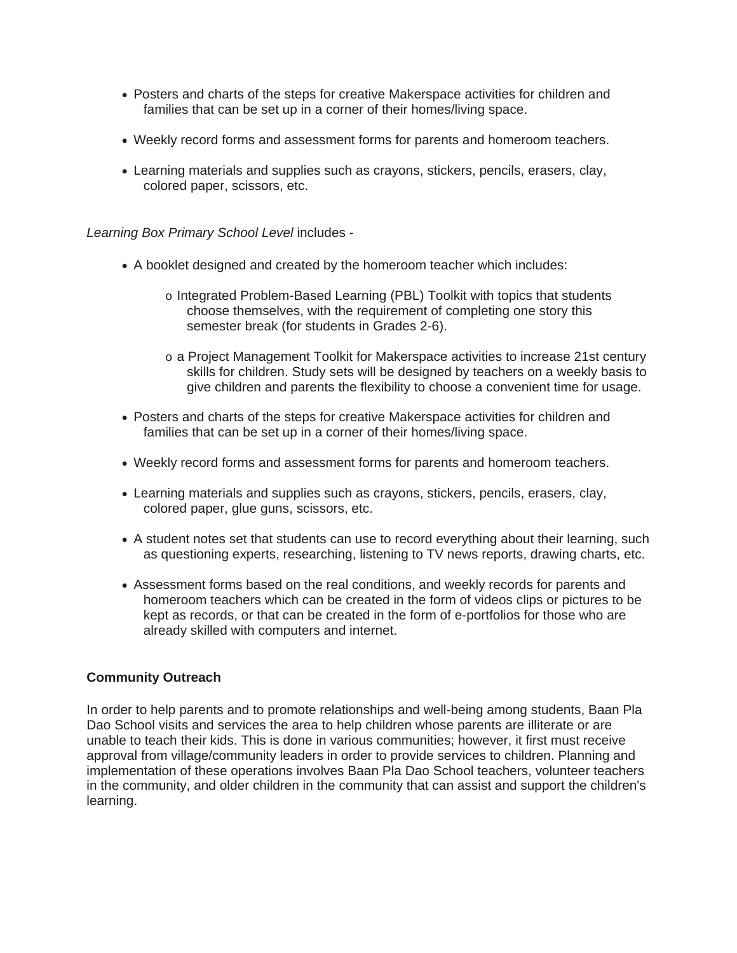- Posters and charts of the steps for creative Makerspace activities for children and families that can be set up in a corner of their homes/living space.
- Weekly record forms and assessment forms for parents and homeroom teachers.
- Learning materials and supplies such as crayons, stickers, pencils, erasers, clay, colored paper, scissors, etc.

*Learning Box Primary School Level* includes -

- A booklet designed and created by the homeroom teacher which includes:
	- o Integrated Problem-Based Learning (PBL) Toolkit with topics that students choose themselves, with the requirement of completing one story this semester break (for students in Grades 2-6).
	- o a Project Management Toolkit for Makerspace activities to increase 21st century skills for children. Study sets will be designed by teachers on a weekly basis to give children and parents the flexibility to choose a convenient time for usage.
- Posters and charts of the steps for creative Makerspace activities for children and families that can be set up in a corner of their homes/living space.
- Weekly record forms and assessment forms for parents and homeroom teachers.
- Learning materials and supplies such as crayons, stickers, pencils, erasers, clay, colored paper, glue guns, scissors, etc.
- A student notes set that students can use to record everything about their learning, such as questioning experts, researching, listening to TV news reports, drawing charts, etc.
- Assessment forms based on the real conditions, and weekly records for parents and homeroom teachers which can be created in the form of videos clips or pictures to be kept as records, or that can be created in the form of e-portfolios for those who are already skilled with computers and internet.

#### **Community Outreach**

In order to help parents and to promote relationships and well-being among students, Baan Pla Dao School visits and services the area to help children whose parents are illiterate or are unable to teach their kids. This is done in various communities; however, it first must receive approval from village/community leaders in order to provide services to children. Planning and implementation of these operations involves Baan Pla Dao School teachers, volunteer teachers in the community, and older children in the community that can assist and support the children's learning.